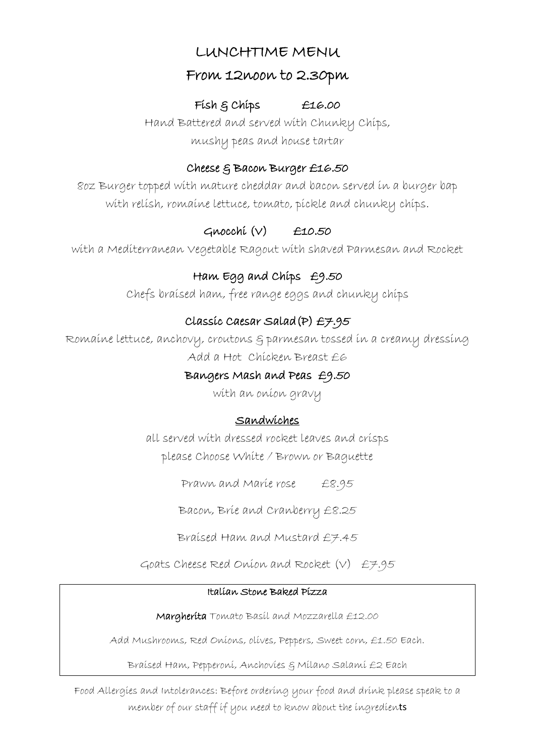# LUNCHTIME MENU

## From 12noon to 2.30pm

#### Fish & Chips £16.00

Hand Battered and served with Chunky Chips, mushy peas and house tartar

#### Cheese & Bacon Burger £16.50

8oz Burger topped with mature cheddar and bacon served in a burger bap with relish, romaine lettuce, tomato, pickle and chunky chips.

# $Gmocchi (V)$  £10.50

with a Mediterranean Vegetable Ragout with shaved Parmesan and Rocket

# Ham Egg and Chips £9.50

Chefs braised ham, free range eggs and chunky chips

# Classic Caesar Salad(P) £7.95

Romaine lettuce, anchovy, croutons & parmesan tossed in a creamy dressing Add a Hot Chicken Breast £6

### Bangers Mash and Peas £9.50

with an onion gravy

## Sandwiches

all served with dressed rocket leaves and crisps please Choose White / Brown or Baguette

Prawn and Marie rose £8.95

Bacon, Brie and Cranberry £8.25

Braised Ham and Mustard £7.45

Goats Cheese Red Onion and Rocket (V) £7.95

#### Italian Stone Baked Pizza

Margherita Tomato Basil and Mozzarella £12.00

Add Mushrooms, Red Onions, olives, Peppers, Sweet corn, £1.50 Each.

Braised Ham, Pepperoni, Anchovies & Milano Salami £2 Each

Food Allergies and Intolerances: Before ordering your food and drink please speak to a member of our staff if you need to know about the ingredients